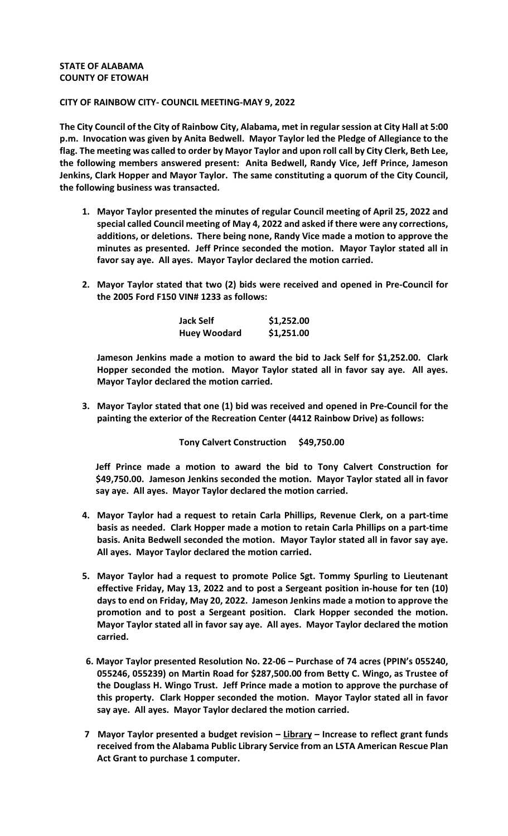## **STATE OF ALABAMA COUNTY OF ETOWAH**

## **CITY OF RAINBOW CITY- COUNCIL MEETING-MAY 9, 2022**

**The City Council of the City of Rainbow City, Alabama, met in regular session at City Hall at 5:00 p.m. Invocation was given by Anita Bedwell. Mayor Taylor led the Pledge of Allegiance to the flag. The meeting was called to order by Mayor Taylor and upon roll call by City Clerk, Beth Lee, the following members answered present: Anita Bedwell, Randy Vice, Jeff Prince, Jameson Jenkins, Clark Hopper and Mayor Taylor. The same constituting a quorum of the City Council, the following business was transacted.** 

- **1. Mayor Taylor presented the minutes of regular Council meeting of April 25, 2022 and special called Council meeting of May 4, 2022 and asked if there were any corrections, additions, or deletions. There being none, Randy Vice made a motion to approve the minutes as presented. Jeff Prince seconded the motion. Mayor Taylor stated all in favor say aye. All ayes. Mayor Taylor declared the motion carried.**
- **2. Mayor Taylor stated that two (2) bids were received and opened in Pre-Council for the 2005 Ford F150 VIN# 1233 as follows:**

| Jack Self           | \$1,252.00 |
|---------------------|------------|
| <b>Huey Woodard</b> | \$1,251.00 |

**Jameson Jenkins made a motion to award the bid to Jack Self for \$1,252.00. Clark Hopper seconded the motion. Mayor Taylor stated all in favor say aye. All ayes. Mayor Taylor declared the motion carried.**

**3. Mayor Taylor stated that one (1) bid was received and opened in Pre-Council for the painting the exterior of the Recreation Center (4412 Rainbow Drive) as follows:**

## **Tony Calvert Construction \$49,750.00**

**Jeff Prince made a motion to award the bid to Tony Calvert Construction for \$49,750.00. Jameson Jenkins seconded the motion. Mayor Taylor stated all in favor say aye. All ayes. Mayor Taylor declared the motion carried.**

- **4. Mayor Taylor had a request to retain Carla Phillips, Revenue Clerk, on a part-time basis as needed. Clark Hopper made a motion to retain Carla Phillips on a part-time basis. Anita Bedwell seconded the motion. Mayor Taylor stated all in favor say aye. All ayes. Mayor Taylor declared the motion carried.**
- **5. Mayor Taylor had a request to promote Police Sgt. Tommy Spurling to Lieutenant effective Friday, May 13, 2022 and to post a Sergeant position in-house for ten (10) days to end on Friday, May 20, 2022. Jameson Jenkins made a motion to approve the promotion and to post a Sergeant position. Clark Hopper seconded the motion. Mayor Taylor stated all in favor say aye. All ayes. Mayor Taylor declared the motion carried.**
- **6. Mayor Taylor presented Resolution No. 22-06 – Purchase of 74 acres (PPIN's 055240, 055246, 055239) on Martin Road for \$287,500.00 from Betty C. Wingo, as Trustee of the Douglass H. Wingo Trust. Jeff Prince made a motion to approve the purchase of this property. Clark Hopper seconded the motion. Mayor Taylor stated all in favor say aye. All ayes. Mayor Taylor declared the motion carried.**
- **7 Mayor Taylor presented a budget revision – Library – Increase to reflect grant funds received from the Alabama Public Library Service from an LSTA American Rescue Plan Act Grant to purchase 1 computer.**